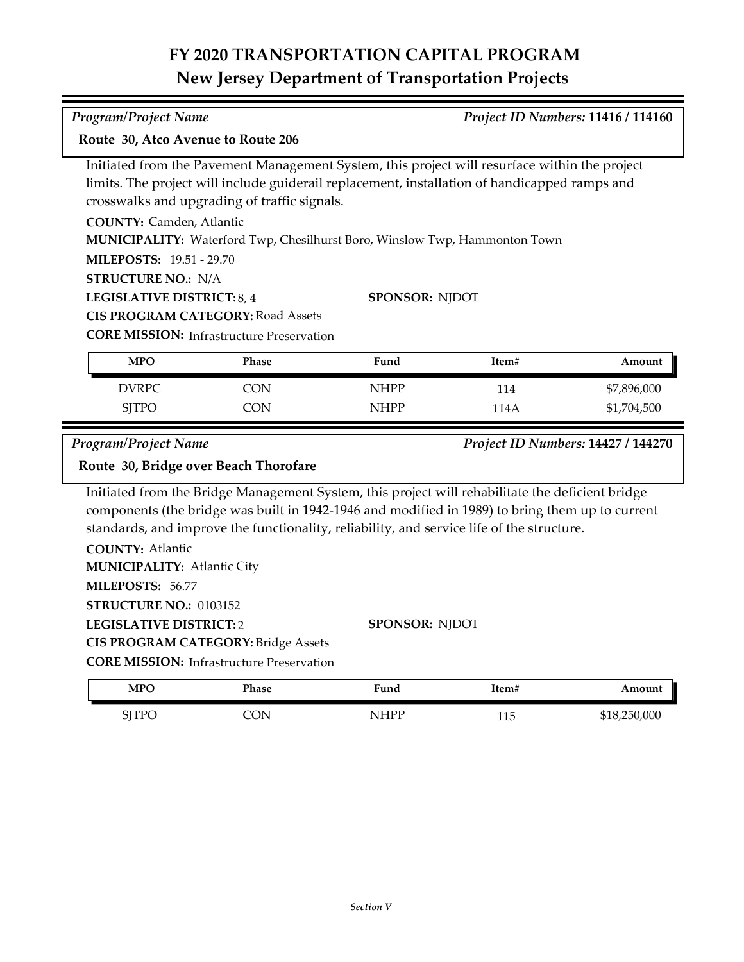## **FY 2020 TRANSPORTATION CAPITAL PROGRAM New Jersey Department of Transportation Projects**

| <b>Program/Project Name</b>                                                                     |                                                                                                                                                                                                                                                |                            |             | Project ID Numbers: 11416 / 114160 |
|-------------------------------------------------------------------------------------------------|------------------------------------------------------------------------------------------------------------------------------------------------------------------------------------------------------------------------------------------------|----------------------------|-------------|------------------------------------|
| Route 30, Atco Avenue to Route 206                                                              |                                                                                                                                                                                                                                                |                            |             |                                    |
|                                                                                                 | Initiated from the Pavement Management System, this project will resurface within the project<br>limits. The project will include guiderail replacement, installation of handicapped ramps and<br>crosswalks and upgrading of traffic signals. |                            |             |                                    |
| <b>COUNTY: Camden, Atlantic</b><br><b>MILEPOSTS: 19.51 - 29.70</b><br><b>STRUCTURE NO.: N/A</b> | MUNICIPALITY: Waterford Twp, Chesilhurst Boro, Winslow Twp, Hammonton Town                                                                                                                                                                     |                            |             |                                    |
| LEGISLATIVE DISTRICT: 8, 4                                                                      | <b>CIS PROGRAM CATEGORY: Road Assets</b><br><b>CORE MISSION:</b> Infrastructure Preservation                                                                                                                                                   | SPONSOR: NJDOT             |             |                                    |
| <b>MPO</b>                                                                                      | <b>Phase</b>                                                                                                                                                                                                                                   | Fund                       | Item#       | Amount                             |
| <b>DVRPC</b><br><b>SJTPO</b>                                                                    | <b>CON</b><br><b>CON</b>                                                                                                                                                                                                                       | <b>NHPP</b><br><b>NHPP</b> | 114<br>114A | \$7,896,000<br>\$1,704,500         |
| <b>Program/Project Name</b>                                                                     | Route 30, Bridge over Beach Thorofare                                                                                                                                                                                                          |                            |             | Project ID Numbers: 14427 / 144270 |
|                                                                                                 | Initiated from the Bridge Management System, this project will rehabilitate the deficient bridge<br>components (the bridge was built in 1942-1946 and modified in 1989) to bring them up to current                                            |                            |             |                                    |

components (the bridge was built in 1942-1946 and modified in 1989) to bring them up to current standards, and improve the functionality, reliability, and service life of the structure.

| <b>COUNTY: Atlantic</b>                          |                       |
|--------------------------------------------------|-----------------------|
| <b>MUNICIPALITY: Atlantic City</b>               |                       |
| <b>MILEPOSTS: 56.77</b>                          |                       |
| <b>STRUCTURE NO.: 0103152</b>                    |                       |
| <b>LEGISLATIVE DISTRICT:2</b>                    | <b>SPONSOR: NIDOT</b> |
| <b>CIS PROGRAM CATEGORY: Bridge Assets</b>       |                       |
| <b>CORE MISSION:</b> Infrastructure Preservation |                       |

| <b>MPO</b>                                      | <b>Phase</b> | Fund      | Item#      | Amount       |
|-------------------------------------------------|--------------|-----------|------------|--------------|
| $\mathsf{CITD} \mathsf{\cap}$<br>  1 1 V<br>. ت | OΝ           | IHDP<br>N | 115<br>ᆂᆂᇦ | \$18,250,000 |